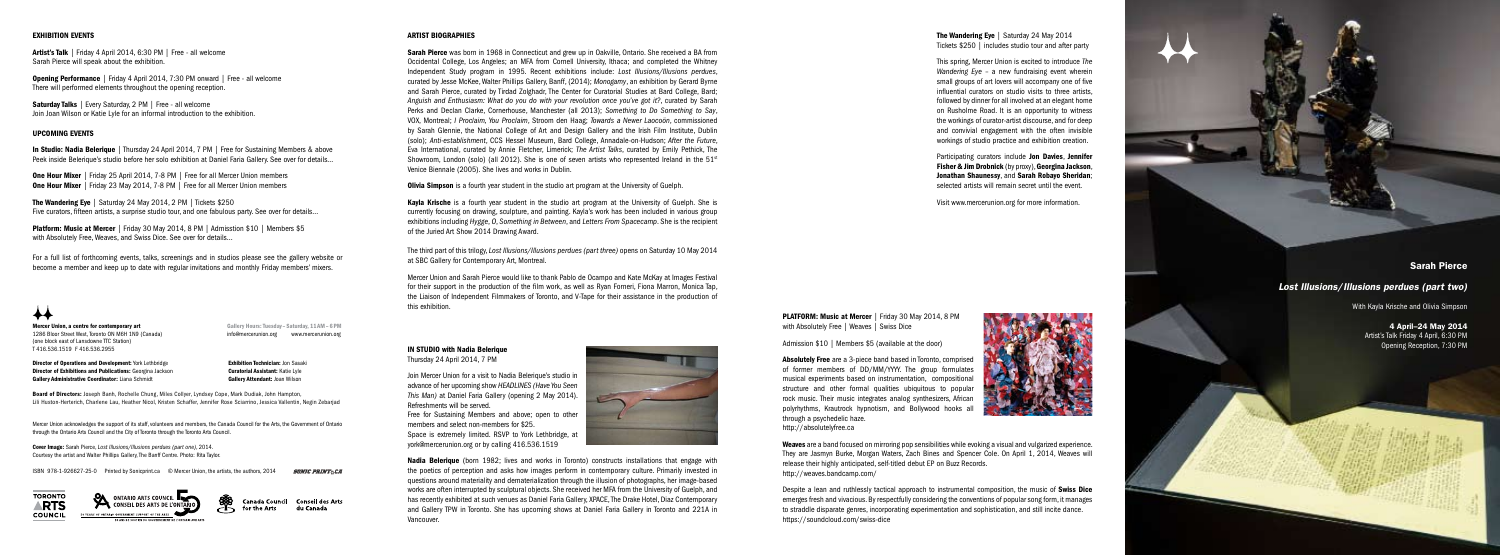Mercer Union, a centre for contemporary art 1286 Bloor Street West, Toronto ON M6H 1N9 (Canada) (one block east of Lansdowne TTC Station) T 416.536.1519 F 416.536.2955

Gallery Hours: Tuesday - Saturday, 11AM - 6 PM info@mercerunion.org www.mercerunion.org

**Director of Operations and Development:** York Lethbridge **Exhibition Technician: Jon Sasaki Director of Exhibitions and Publications:** Georgina Jackson **Curatorial Assistant:** Katie Lyle Gallery Administrative Coordinator: Liana Schmidt Gallery Attendant: Joan Wilson

Board of Directors: Joseph Banh, Rochelle Chung, Miles Collyer, Lyndsey Cope, Mark Dudiak, John Hampton, Lili Huston-Herterich, Charlene Lau, Heather Nicol, Kristen Schaffer, Jennifer Rose Sciarrino, Jessica Vallentin, Negin Zebarjad

Mercer Union acknowledges the support of its staff, volunteers and members, the Canada Council for the Arts, the Government of Ontario through the Ontario Arts Council and the City of Toronto through the Toronto Arts Council.

Cover Image: Sarah Pierce, *Lost Illusions/Illusions perdues (part one)*, 2014. Courtesy the artist and Walter Phillips Gallery, The Banff Centre. Photo: Rita Taylor.

ISBN 978-1-926627-25-0 Printed by Sonicprint.ca © Mercer Union, the artists, the authors, 2014

*SONIC PRINT&CA* 



ONTARIO ARTS COUNCIL **THE CONTARIO** 50 YEARS OF ONTARIO GOVERNMENT SUPPORT OF THE ARTS



Canada Council Conseil des Arts for the Arts du Canada

### ARTIST BIOGRAPHIES

Sarah Pierce was born in 1968 in Connecticut and grew up in Oakville, Ontario. She received a BA from Occidental College, Los Angeles; an MFA from Cornell University, Ithaca; and completed the Whitney Independent Study program in 1995. Recent exhibitions include: *Lost Illusions/Illusions perdues*, curated by Jesse McKee, Walter Phillips Gallery, Banff, (2014); *Monogamy*, an exhibition by Gerard Byrne and Sarah Pierce, curated by Tirdad Zolghadr, The Center for Curatorial Studies at Bard College, Bard; *Anguish and Enthusiasm: What do you do with your revolution once you've got it?*, curated by Sarah Perks and Declan Clarke, Cornerhouse, Manchester (all 2013); *Something to Do Something to Say*, VOX, Montreal; *I Proclaim, You Proclaim*, Stroom den Haag; *Towards a Newer Laocoön*, commissioned by Sarah Glennie, the National College of Art and Design Gallery and the Irish Film Institute, Dublin (solo); *Anti-establishment*, CCS Hessel Museum, Bard College, Annadale-on-Hudson; *After the Future*, Eva International, curated by Annie Fletcher, Limerick; *The Artist Talks*, curated by Emily Pethick, The Showroom, London (solo) (all 2012). She is one of seven artists who represented Ireland in the  $51<sup>st</sup>$ Venice Biennale (2005). She lives and works in Dublin.

**Olivia Simpson** is a fourth year student in the studio art program at the University of Guelph.

Kayla Krische is a fourth year student in the studio art program at the University of Guelph. She is currently focusing on drawing, sculpture, and painting. Kayla's work has been included in various group exhibitions including *Hygge*, *O*, *Something in Between*, and *Letters From Spacecamp*. She is the recipient of the Juried Art Show 2014 Drawing Award.

Artist's Talk | Friday 4 April 2014, 6:30 PM | Free - all welcome Sarah Pierce will speak about the exhibition.

Saturday Talks | Every Saturday, 2 PM | Free - all welcome Join Joan Wilson or Katie Lyle for an informal introduction to the exhibition.

In Studio: Nadia Belerique | Thursday 24 April 2014, 7 PM | Free for Sustaining Members & above Peek inside Belerique's studio before her solo exhibition at Daniel Faria Gallery. See over for details...

**One Hour Mixer** | Friday 25 April 2014, 7-8 PM | Free for all Mercer Union members **One Hour Mixer** | Friday 23 May 2014, 7-8 PM | Free for all Mercer Union members

The Wandering Eye | Saturday 24 May 2014, 2 PM | Tickets \$250 Five curators, fifteen artists, a surprise studio tour, and one fabulous party. See over for details...

Platform: Music at Mercer | Friday 30 May 2014, 8 PM | Admisstion \$10 | Members \$5 with Absolutely Free, Weaves, and Swiss Dice. See over for details...

> The third part of this trilogy, *Lost Illusions/Illusions perdues (part three)* opens on Saturday 10 May 2014 at SBC Gallery for Contemporary Art, Montreal.

> > **PLATFORM: Music at Mercer | Friday 30 May 2014, 8 PM** with Absolutely Free | Weaves | Swiss Dice

Mercer Union and Sarah Pierce would like to thank Pablo de Ocampo and Kate McKay at Images Festival for their support in the production of the film work, as well as Ryan Forneri, Fiona Marron, Monica Tap, the Liaison of Independent Filmmakers of Toronto, and V-Tape for their assistance in the production of this exhibition.

> Weaves are a band focused on mirroring pop sensibilities while evoking a visual and vulgarized experience. They are Jasmyn Burke, Morgan Waters, Zach Bines and Spencer Cole. On April 1, 2014, Weaves will release their highly anticipated, self-titled debut EP on Buzz Records. http://weaves.bandcamp.com/

Sarah Pierce

## *Lost Illusions*/*Illusions perdues (part two)*

With Kayla Krische and Olivia Simpson

4 April–24 May 2014 Artist's Talk Friday 4 April, 6:30 PM Opening Reception, 7:30 PM

Despite a lean and ruthlessly tactical approach to instrumental composition, the music of **Swiss Dice** emerges fresh and vivacious. By respectfully considering the conventions of popular song form, it manages to straddle disparate genres, incorporating experimentation and sophistication, and still incite dance. https://soundcloud.com/swiss-dice

### EXHIBITION EVENTS

The Wandering Eye | Saturday 24 May 2014 Tickets \$250 | includes studio tour and after party

Opening Performance | Friday 4 April 2014, 7:30 PM onward | Free - all welcome There will performed elements throughout the opening reception.

> Participating curators include Jon Davies, Jennifer Fisher & Jim Drobnick (by proxy), Georgina Jackson, Jonathan Shaunessy, and Sarah Robayo Sheridan; selected artists will remain secret until the event.

### UPCOMING EVENTS

For a full list of forthcoming events, talks, screenings and in studios please see the gallery website or become a member and keep up to date with regular invitations and monthly Friday members' mixers.

# ✦✦

### IN STUDIO with Nadia Belerique Thursday 24 April 2014, 7 PM

Join Mercer Union for a visit to Nadia Belerique's studio in advance of her upcoming show *HEADLINES (Have You Seen This Man)* at Daniel Faria Gallery (opening 2 May 2014). Refreshments will be served.

Free for Sustaining Members and above; open to other members and select non-members for \$25. Space is extremely limited. RSVP to York Lethbridge, at york@mercerunion.org or by calling 416.536.1519





Admission \$10 | Members \$5 (available at the door)





Absolutely Free are a 3-piece band based in Toronto, comprised of former members of DD/MM/YYYY. The group formulates musical experiments based on instrumentation, compositional structure and other formal qualities ubiquitous to popular rock music. Their music integrates analog synthesizers, African polyrhythms, Krautrock hypnotism, and Bollywood hooks all through a psychedelic haze. http://absolutelyfree.ca

This spring, Mercer Union is excited to introduce *The Wandering Eye* – a new fundraising event wherein small groups of art lovers will accompany one of five influential curators on studio visits to three artists, followed by dinner for all involved at an elegant home on Rusholme Road. It is an opportunity to witness the workings of curator-artist discourse, and for deep and convivial engagement with the often invisible workings of studio practice and exhibition creation.

Visit www.mercerunion.org for more information.